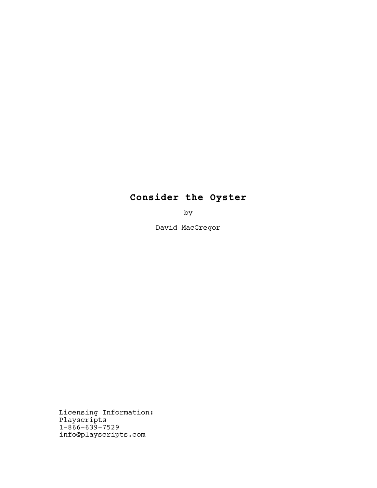# **Consider the Oyster**

by

David MacGregor

 Licensing Information: Playscripts 1-866-639-7529 info@playscripts.com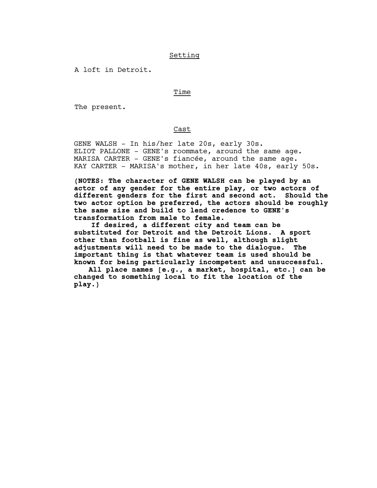# Setting

A loft in Detroit.

# **Time** is a state of the state of the state of the state of the state of the state of the state of the state of

The present.

# Cast

 GENE WALSH - In his/her late 20s, early 30s. ELIOT PALLONE - GENE's roommate, around the same age. MARISA CARTER - GENE's fiancée, around the same age. KAY CARTER - MARISA's mother, in her late 40s, early 50s.

**(NOTES: The character of GENE WALSH can be played by an actor of any gender for the entire play, or two actors of different genders for the first and second act. Should the two actor option be preferred, the actors should be roughly the same size and build to lend credence to GENE's transformation from male to female.**

 **If desired, a different city and team can be substituted for Detroit and the Detroit Lions. A sport other than football is fine as well, although slight adjustments will need to be made to the dialogue. The important thing is that whatever team is used should be known for being particularly incompetent and unsuccessful.**

**All place names [e.g., a market, hospital, etc.] can be changed to something local to fit the location of the play.)**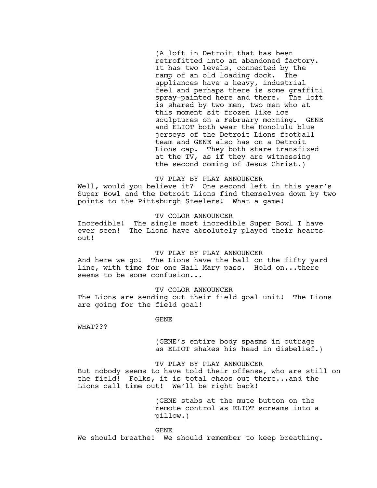(A loft in Detroit that has been retrofitted into an abandoned factory. It has two levels, connected by the ramp of an old loading dock. The appliances have a heavy, industrial feel and perhaps there is some graffiti spray-painted here and there. The loft is shared by two men, two men who at this moment sit frozen like ice sculptures on a February morning. GENE and ELIOT both wear the Honolulu blue jerseys of the Detroit Lions football team and GENE also has on a Detroit Lions cap. They both stare transfixed at the TV, as if they are witnessing the second coming of Jesus Christ.)

# TV PLAY BY PLAY ANNOUNCER

Well, would you believe it? One second left in this year's Super Bowl and the Detroit Lions find themselves down by two points to the Pittsburgh Steelers! What a game!

TV COLOR ANNOUNCER

Incredible! The single most incredible Super Bowl I have ever seen! The Lions have absolutely played their hearts out!

## TV PLAY BY PLAY ANNOUNCER

And here we go! The Lions have the ball on the fifty yard line, with time for one Hail Mary pass. Hold on...there seems to be some confusion...

TV COLOR ANNOUNCER

The Lions are sending out their field goal unit! The Lions are going for the field goal!

GENE

WHAT???

(GENE's entire body spasms in outrage as ELIOT shakes his head in disbelief.)

# TV PLAY BY PLAY ANNOUNCER

But nobody seems to have told their offense, who are still on the field! Folks, it is total chaos out there...and the Lions call time out! We'll be right back!

> (GENE stabs at the mute button on the remote control as ELIOT screams into a pillow.)

GENE

We should breathe! We should remember to keep breathing.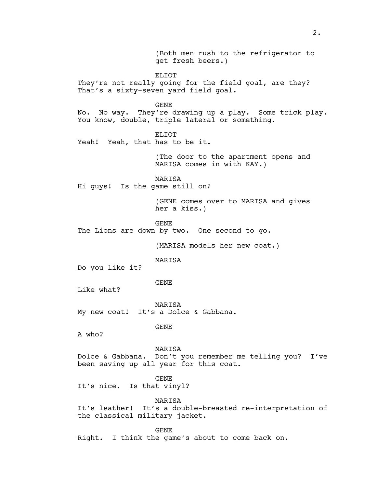(Both men rush to the refrigerator to get fresh beers.) ELIOT They're not really going for the field goal, are they? That's a sixty-seven yard field goal. GENE No. No way. They're drawing up a play. Some trick play. You know, double, triple lateral or something. ELIOT Yeah! Yeah, that has to be it. (The door to the apartment opens and MARISA comes in with KAY.) MARISA Hi guys! Is the game still on? (GENE comes over to MARISA and gives her a kiss.) GENE The Lions are down by two. One second to go. (MARISA models her new coat.) MARISA Do you like it? GENE Like what? MARISA My new coat! It's a Dolce & Gabbana. GENE A who? MARISA Dolce & Gabbana. Don't you remember me telling you? I've been saving up all year for this coat. GENE It's nice. Is that vinyl? MARISA It's leather! It's a double-breasted re-interpretation of the classical military jacket. GENE Right. I think the game's about to come back on.

2.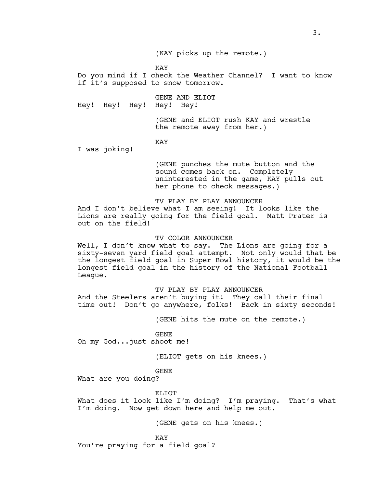(KAY picks up the remote.)

KAY

Do you mind if I check the Weather Channel? I want to know if it's supposed to snow tomorrow.

GENE AND ELIOT Hey! Hey! Hey! Hey! Hey!

> (GENE and ELIOT rush KAY and wrestle the remote away from her.)

KAY

I was joking!

(GENE punches the mute button and the sound comes back on. Completely uninterested in the game, KAY pulls out her phone to check messages.)

# TV PLAY BY PLAY ANNOUNCER

And I don't believe what I am seeing! It looks like the Lions are really going for the field goal. Matt Prater is out on the field!

# TV COLOR ANNOUNCER

Well, I don't know what to say. The Lions are going for a sixty-seven yard field goal attempt. Not only would that be the longest field goal in Super Bowl history, it would be the longest field goal in the history of the National Football League.

TV PLAY BY PLAY ANNOUNCER

And the Steelers aren't buying it! They call their final time out! Don't go anywhere, folks! Back in sixty seconds!

(GENE hits the mute on the remote.)

GENE Oh my God...just shoot me!

(ELIOT gets on his knees.)

GENE

What are you doing?

ELIOT

What does it look like I'm doing? I'm praying. That's what I'm doing. Now get down here and help me out.

(GENE gets on his knees.)

KAY You're praying for a field goal?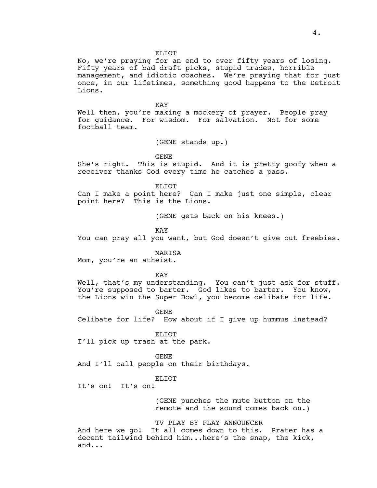#### ELIOT

No, we're praying for an end to over fifty years of losing. Fifty years of bad draft picks, stupid trades, horrible management, and idiotic coaches. We're praying that for just once, in our lifetimes, something good happens to the Detroit Lions.

KAY

Well then, you're making a mockery of prayer. People pray for guidance. For wisdom. For salvation. Not for some football team.

(GENE stands up.)

GENE

She's right. This is stupid. And it is pretty goofy when a receiver thanks God every time he catches a pass.

ELIOT

Can I make a point here? Can I make just one simple, clear point here? This is the Lions.

(GENE gets back on his knees.)

KAY

You can pray all you want, but God doesn't give out freebies.

MARISA

Mom, you're an atheist.

KAY

Well, that's my understanding. You can't just ask for stuff. You're supposed to barter. God likes to barter. You know, the Lions win the Super Bowl, you become celibate for life.

GENE

Celibate for life? How about if I give up hummus instead?

ELIOT I'll pick up trash at the park.

GENE And I'll call people on their birthdays.

ELIOT

It's on! It's on!

(GENE punches the mute button on the remote and the sound comes back on.)

TV PLAY BY PLAY ANNOUNCER

And here we go! It all comes down to this. Prater has a decent tailwind behind him...here's the snap, the kick, and...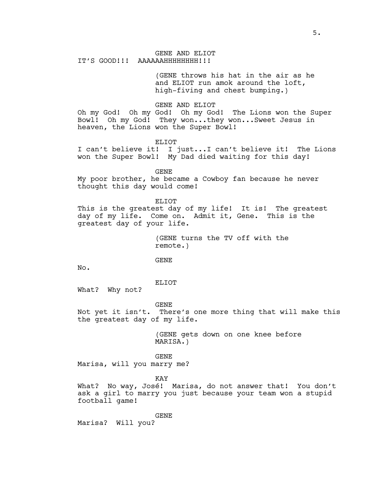GENE AND ELIOT IT'S GOOD!!! AAAAAAHHHHHHHH!!!

> (GENE throws his hat in the air as he and ELIOT run amok around the loft, high-fiving and chest bumping.)

GENE AND ELIOT

Oh my God! Oh my God! Oh my God! The Lions won the Super Bowl! Oh my God! They won...they won...Sweet Jesus in heaven, the Lions won the Super Bowl!

ELIOT

I can't believe it! I just...I can't believe it! The Lions won the Super Bowl! My Dad died waiting for this day!

GENE

My poor brother, he became a Cowboy fan because he never thought this day would come!

ELIOT

This is the greatest day of my life! It is! The greatest day of my life. Come on. Admit it, Gene. This is the greatest day of your life.

> (GENE turns the TV off with the remote.)

GENE

No.

ELIOT

What? Why not?

GENE

Not yet it isn't. There's one more thing that will make this the greatest day of my life.

> (GENE gets down on one knee before MARISA.)

GENE Marisa, will you marry me?

KAY

What? No way, José! Marisa, do not answer that! You don't ask a girl to marry you just because your team won a stupid football game!

GENE

Marisa? Will you?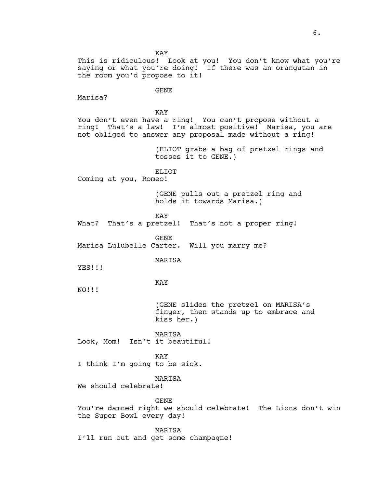This is ridiculous! Look at you! You don't know what you're saying or what you're doing! If there was an orangutan in the room you'd propose to it! GENE Marisa? KAY You don't even have a ring! You can't propose without a ring! That's a law! I'm almost positive! Marisa, you are not obliged to answer any proposal made without a ring!

> (ELIOT grabs a bag of pretzel rings and tosses it to GENE.)

ELIOT Coming at you, Romeo!

> (GENE pulls out a pretzel ring and holds it towards Marisa.)

KAY

What? That's a pretzel! That's not a proper ring!

GENE

Marisa Lulubelle Carter. Will you marry me?

MARISA

YES!!!

KAY

NO!!!

(GENE slides the pretzel on MARISA's finger, then stands up to embrace and kiss her.)

MARISA Look, Mom! Isn't it beautiful!

KAY I think I'm going to be sick.

MARISA

We should celebrate!

GENE

You're damned right we should celebrate! The Lions don't win the Super Bowl every day!

MARISA

I'll run out and get some champagne!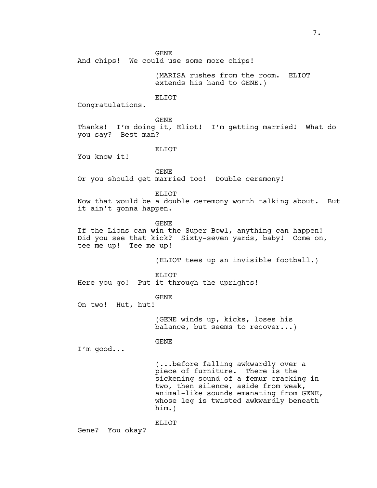And chips! We could use some more chips!

(MARISA rushes from the room. ELIOT extends his hand to GENE.)

# ELIOT

Congratulations.

GENE

Thanks! I'm doing it, Eliot! I'm getting married! What do you say? Best man?

ELIOT

You know it!

GENE Or you should get married too! Double ceremony!

ELIOT

Now that would be a double ceremony worth talking about. But it ain't gonna happen.

GENE

If the Lions can win the Super Bowl, anything can happen! Did you see that kick? Sixty-seven yards, baby! Come on, tee me up! Tee me up!

(ELIOT tees up an invisible football.)

ELIOT Here you go! Put it through the uprights!

GENE

On two! Hut, hut!

(GENE winds up, kicks, loses his balance, but seems to recover...)

GENE

I'm good...

(...before falling awkwardly over a piece of furniture. There is the sickening sound of a femur cracking in two, then silence, aside from weak, animal-like sounds emanating from GENE, whose leg is twisted awkwardly beneath him.)

ELIOT

Gene? You okay?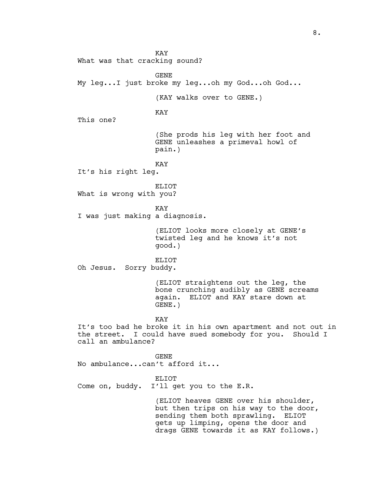KAY What was that cracking sound? GENE My leg...I just broke my leg...oh my God...oh God... (KAY walks over to GENE.) KAY This one? (She prods his leg with her foot and GENE unleashes a primeval howl of pain.) KAY It's his right leg. ELIOT What is wrong with you? KAY I was just making a diagnosis. (ELIOT looks more closely at GENE's twisted leg and he knows it's not good.) ELIOT Oh Jesus. Sorry buddy. (ELIOT straightens out the leg, the bone crunching audibly as GENE screams again. ELIOT and KAY stare down at GENE.) KAY It's too bad he broke it in his own apartment and not out in the street. I could have sued somebody for you. Should I call an ambulance? GENE No ambulance...can't afford it... ELIOT Come on, buddy. I'll get you to the E.R. (ELIOT heaves GENE over his shoulder, but then trips on his way to the door, sending them both sprawling. ELIOT gets up limping, opens the door and drags GENE towards it as KAY follows.)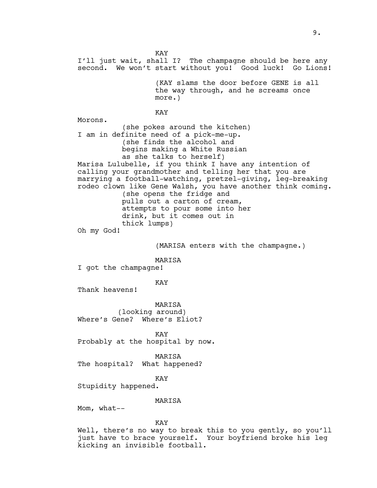KAY I'll just wait, shall I? The champagne should be here any second. We won't start without you! Good luck! Go Lions! (KAY slams the door before GENE is all the way through, and he screams once more.) KAY Morons. (she pokes around the kitchen) I am in definite need of a pick-me-up. (she finds the alcohol and begins making a White Russian as she talks to herself) Marisa Lulubelle, if you think I have any intention of calling your grandmother and telling her that you are marrying a football-watching, pretzel-giving, leg-breaking rodeo clown like Gene Walsh, you have another think coming. (she opens the fridge and pulls out a carton of cream, attempts to pour some into her drink, but it comes out in thick lumps) Oh my God! (MARISA enters with the champagne.) MARISA I got the champagne! KAY Thank heavens! MARISA (looking around) Where's Gene? Where's Eliot? KAY Probably at the hospital by now. MARISA The hospital? What happened? KAY Stupidity happened. MARISA Mom, what-- KAY Well, there's no way to break this to you gently, so you'll just have to brace yourself. Your boyfriend broke his leg kicking an invisible football.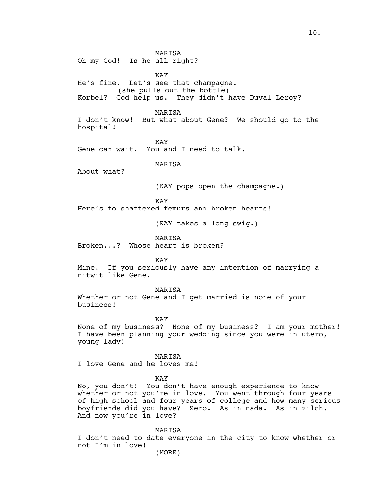MARISA Oh my God! Is he all right?

KAY He's fine. Let's see that champagne. (she pulls out the bottle) Korbel? God help us. They didn't have Duval-Leroy?

MARISA I don't know! But what about Gene? We should go to the hospital!

KAY Gene can wait. You and I need to talk.

MARISA

About what?

(KAY pops open the champagne.)

KAY

Here's to shattered femurs and broken hearts!

(KAY takes a long swig.)

MARISA

Broken...? Whose heart is broken?

KAY

Mine. If you seriously have any intention of marrying a nitwit like Gene.

MARISA

Whether or not Gene and I get married is none of your business!

KAY

None of my business? None of my business? I am your mother! I have been planning your wedding since you were in utero, young lady!

MARISA I love Gene and he loves me!

KAY

No, you don't! You don't have enough experience to know whether or not you're in love. You went through four years of high school and four years of college and how many serious boyfriends did you have? Zero. As in nada. As in zilch. And now you're in love?

MARISA

I don't need to date everyone in the city to know whether or not I'm in love!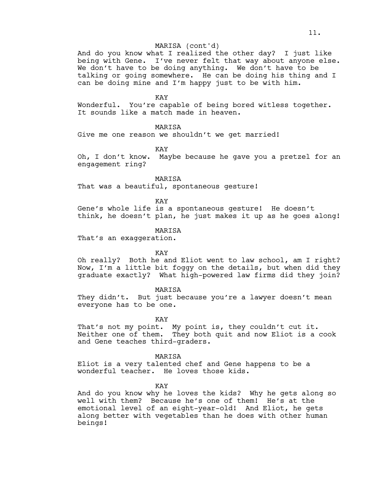# MARISA (cont'd)

And do you know what I realized the other day? I just like being with Gene. I've never felt that way about anyone else. We don't have to be doing anything. We don't have to be talking or going somewhere. He can be doing his thing and I can be doing mine and I'm happy just to be with him.

#### KAY

Wonderful. You're capable of being bored witless together. It sounds like a match made in heaven.

MARISA

Give me one reason we shouldn't we get married!

KAY

Oh, I don't know. Maybe because he gave you a pretzel for an engagement ring?

MARISA

That was a beautiful, spontaneous gesture!

KAY

Gene's whole life is a spontaneous gesture! He doesn't think, he doesn't plan, he just makes it up as he goes along!

# MARISA

That's an exaggeration.

## KAY

Oh really? Both he and Eliot went to law school, am I right? Now, I'm a little bit foggy on the details, but when did they graduate exactly? What high-powered law firms did they join?

MARISA

They didn't. But just because you're a lawyer doesn't mean everyone has to be one.

KAY

That's not my point. My point is, they couldn't cut it. Neither one of them. They both quit and now Eliot is a cook and Gene teaches third-graders.

MARISA

Eliot is a very talented chef and Gene happens to be a wonderful teacher. He loves those kids.

KAY

And do you know why he loves the kids? Why he gets along so well with them? Because he's one of them! He's at the emotional level of an eight-year-old! And Eliot, he gets along better with vegetables than he does with other human beings!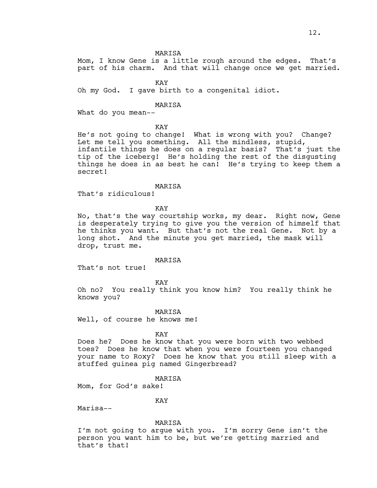MARISA

Mom, I know Gene is a little rough around the edges. That's part of his charm. And that will change once we get married.

KAY

Oh my God. I gave birth to a congenital idiot.

MARISA

What do you mean--

KAY

He's not going to change! What is wrong with you? Change? Let me tell you something. All the mindless, stupid, infantile things he does on a regular basis? That's just the tip of the iceberg! He's holding the rest of the disgusting things he does in as best he can! He's trying to keep them a secret!

#### MARISA

That's ridiculous!

KAY

No, that's the way courtship works, my dear. Right now, Gene is desperately trying to give you the version of himself that he thinks you want. But that's not the real Gene. Not by a long shot. And the minute you get married, the mask will drop, trust me.

## MARISA

That's not true!

KAY

Oh no? You really think you know him? You really think he knows you?

MARISA

Well, of course he knows me!

#### KAY

Does he? Does he know that you were born with two webbed toes? Does he know that when you were fourteen you changed your name to Roxy? Does he know that you still sleep with a stuffed guinea pig named Gingerbread?

MARISA

Mom, for God's sake!

# KAY

Marisa--

#### MARISA

I'm not going to argue with you. I'm sorry Gene isn't the person you want him to be, but we're getting married and that's that!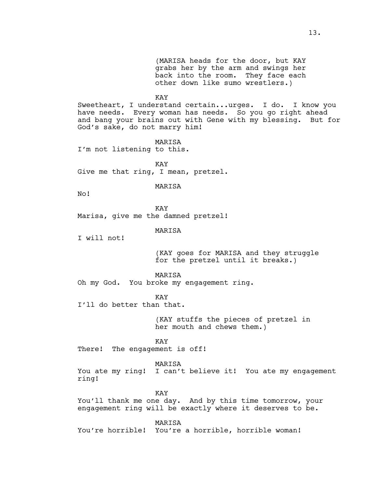(MARISA heads for the door, but KAY grabs her by the arm and swings her back into the room. They face each other down like sumo wrestlers.)

#### KAY

Sweetheart, I understand certain...urges. I do. I know you have needs. Every woman has needs. So you go right ahead and bang your brains out with Gene with my blessing. But for God's sake, do not marry him!

MARISA I'm not listening to this.

KAY

Give me that ring, I mean, pretzel.

# MARISA

No!

KAY Marisa, give me the damned pretzel!

MARISA

I will not!

(KAY goes for MARISA and they struggle for the pretzel until it breaks.)

MARISA

Oh my God. You broke my engagement ring.

KAY

I'll do better than that.

(KAY stuffs the pieces of pretzel in her mouth and chews them.)

# KAY

There! The engagement is off!

#### MARISA

You ate my ring! I can't believe it! You ate my engagement ring!

KAY

You'll thank me one day. And by this time tomorrow, your engagement ring will be exactly where it deserves to be.

MARISA

You're horrible! You're a horrible, horrible woman!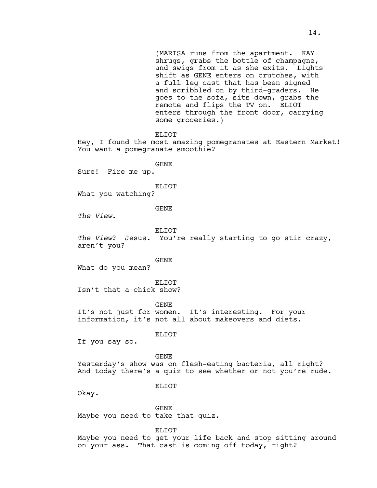(MARISA runs from the apartment. KAY shrugs, grabs the bottle of champagne, and swigs from it as she exits. Lights shift as GENE enters on crutches, with a full leg cast that has been signed and scribbled on by third-graders. He goes to the sofa, sits down, grabs the remote and flips the TV on. ELIOT enters through the front door, carrying some groceries.) ELIOT Hey, I found the most amazing pomegranates at Eastern Market! You want a pomegranate smoothie? GENE Sure! Fire me up. ELIOT What you watching? GENE *The View*. ELIOT *The View*? Jesus. You're really starting to go stir crazy, aren't you? GENE What do you mean? ELIOT Isn't that a chick show? GENE It's not just for women. It's interesting. For your information, it's not all about makeovers and diets. ELIOT If you say so. GENE Yesterday's show was on flesh-eating bacteria, all right? And today there's a quiz to see whether or not you're rude. ELIOT Okay. GENE Maybe you need to take that quiz. ELIOT Maybe you need to get your life back and stop sitting around on your ass. That cast is coming off today, right?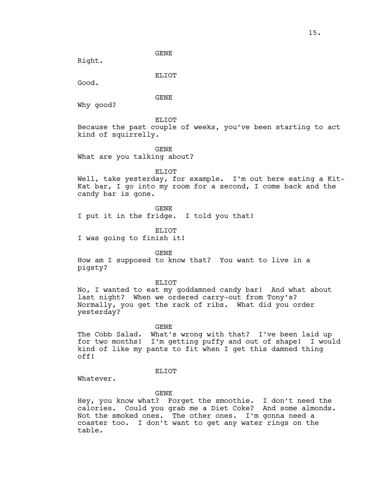Right.

ELIOT

Good.

GENE

Why good?

ELIOT

Because the past couple of weeks, you've been starting to act kind of squirrelly.

GENE

What are you talking about?

ELIOT

Well, take yesterday, for example. I'm out here eating a Kit-Kat bar, I go into my room for a second, I come back and the candy bar is gone.

GENE

I put it in the fridge. I told you that!

ELIOT

I was going to finish it!

GENE

How am I supposed to know that? You want to live in a pigsty?

ELIOT

No, I wanted to eat my goddamned candy bar! And what about last night? When we ordered carry-out from Tony's? Normally, you get the rack of ribs. What did you order yesterday?

GENE

The Cobb Salad. What's wrong with that? I've been laid up for two months! I'm getting puffy and out of shape! I would kind of like my pants to fit when I get this damned thing off!

# ELIOT

Whatever.

GENE

Hey, you know what? Forget the smoothie. I don't need the calories. Could you grab me a Diet Coke? And some almonds. Not the smoked ones. The other ones. I'm gonna need a coaster too. I don't want to get any water rings on the table.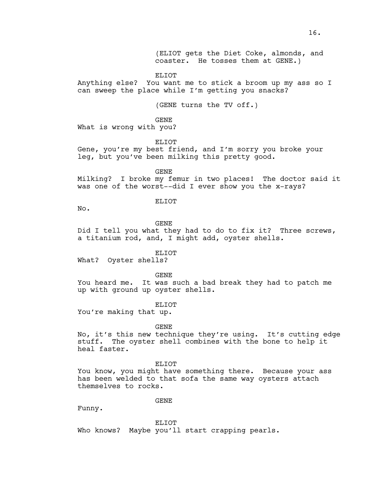(ELIOT gets the Diet Coke, almonds, and coaster. He tosses them at GENE.)

ELIOT

Anything else? You want me to stick a broom up my ass so I can sweep the place while I'm getting you snacks?

(GENE turns the TV off.)

GENE

What is wrong with you?

ELIOT

Gene, you're my best friend, and I'm sorry you broke your leg, but you've been milking this pretty good.

GENE

Milking? I broke my femur in two places! The doctor said it was one of the worst--did I ever show you the x-rays?

## ELIOT

No.

GENE

Did I tell you what they had to do to fix it? Three screws, a titanium rod, and, I might add, oyster shells.

ELIOT

What? Oyster shells?

GENE

You heard me. It was such a bad break they had to patch me up with ground up oyster shells.

ELIOT

You're making that up.

GENE

No, it's this new technique they're using. It's cutting edge stuff. The oyster shell combines with the bone to help it heal faster.

ELIOT You know, you might have something there. Because your ass has been welded to that sofa the same way oysters attach themselves to rocks.

GENE

Funny.

ELIOT Who knows? Maybe you'll start crapping pearls.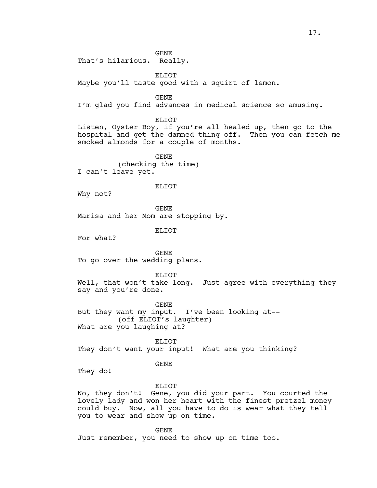GENE That's hilarious. Really.

ELIOT

Maybe you'll taste good with a squirt of lemon.

GENE

I'm glad you find advances in medical science so amusing.

ELIOT

Listen, Oyster Boy, if you're all healed up, then go to the hospital and get the damned thing off. Then you can fetch me smoked almonds for a couple of months.

GENE (checking the time) I can't leave yet.

## ELIOT

Why not?

GENE Marisa and her Mom are stopping by.

ELIOT

For what?

GENE To go over the wedding plans.

ELIOT

Well, that won't take long. Just agree with everything they say and you're done.

GENE

But they want my input. I've been looking at-- (off ELIOT's laughter) What are you laughing at?

ELIOT They don't want your input! What are you thinking?

#### GENE

They do!

# ELIOT

No, they don't! Gene, you did your part. You courted the lovely lady and won her heart with the finest pretzel money could buy. Now, all you have to do is wear what they tell you to wear and show up on time.

GENE

Just remember, you need to show up on time too.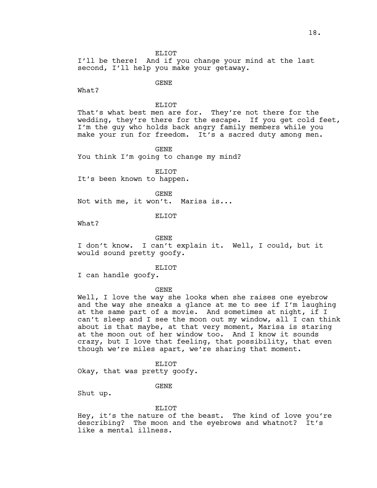ELIOT

I'll be there! And if you change your mind at the last second, I'll help you make your getaway.

GENE

What?

# ELIOT

That's what best men are for. They're not there for the wedding, they're there for the escape. If you get cold feet, I'm the guy who holds back angry family members while you make your run for freedom. It's a sacred duty among men.

GENE

You think I'm going to change my mind?

ELIOT It's been known to happen.

GENE Not with me, it won't. Marisa is...

ELIOT

What?

GENE

I don't know. I can't explain it. Well, I could, but it would sound pretty goofy.

ELIOT

I can handle goofy.

GENE

Well, I love the way she looks when she raises one eyebrow and the way she sneaks a glance at me to see if I'm laughing at the same part of a movie. And sometimes at night, if I can't sleep and I see the moon out my window, all I can think about is that maybe, at that very moment, Marisa is staring at the moon out of her window too. And I know it sounds crazy, but I love that feeling, that possibility, that even though we're miles apart, we're sharing that moment.

ELIOT

Okay, that was pretty goofy.

GENE

Shut up.

#### ELIOT

Hey, it's the nature of the beast. The kind of love you're describing? The moon and the eyebrows and whatnot? It's like a mental illness.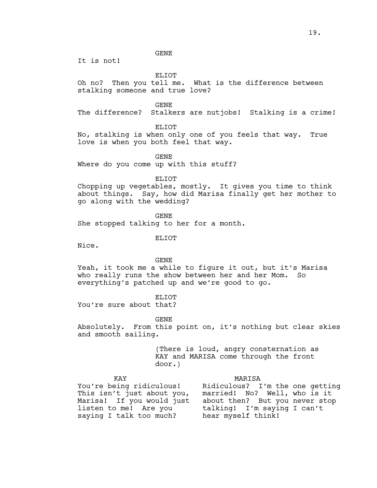It is not!

ELIOT

Oh no? Then you tell me. What is the difference between stalking someone and true love?

GENE

The difference? Stalkers are nutjobs! Stalking is a crime!

ELIOT

No, stalking is when only one of you feels that way. True love is when you both feel that way.

GENE

Where do you come up with this stuff?

ELIOT

Chopping up vegetables, mostly. It gives you time to think about things. Say, how did Marisa finally get her mother to go along with the wedding?

GENE She stopped talking to her for a month.

ELIOT

Nice.

# GENE

Yeah, it took me a while to figure it out, but it's Marisa who really runs the show between her and her Mom. So everything's patched up and we're good to go.

ELIOT

You're sure about that?

GENE

Absolutely. From this point on, it's nothing but clear skies and smooth sailing.

> (There is loud, angry consternation as KAY and MARISA come through the front door.)

KAY MARISA You're being ridiculous! Ridiculous? I'm the one getting married! No? Well, who is it This isn't just about you, married! No? Well, who is it<br>Marisa! If you would just about then? But you never stop listen to me! Are you talking! I'm saying I can't saying I talk too much? hear myself think!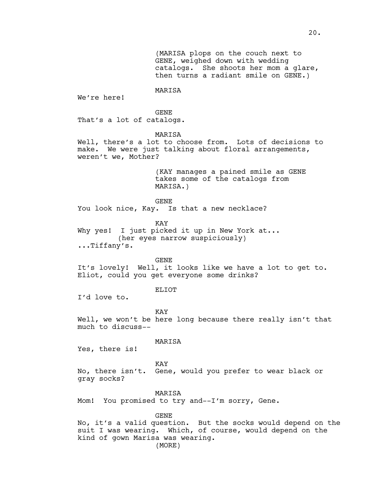(MARISA plops on the couch next to GENE, weighed down with wedding catalogs. She shoots her mom a glare, then turns a radiant smile on GENE.)

MARISA

We're here!

GENE That's a lot of catalogs.

MARISA

Well, there's a lot to choose from. Lots of decisions to make. We were just talking about floral arrangements, weren't we, Mother?

> (KAY manages a pained smile as GENE takes some of the catalogs from MARISA.)

GENE

You look nice, Kay. Is that a new necklace?

KAY

Why yes! I just picked it up in New York at... (her eyes narrow suspiciously) ...Tiffany's.

GENE

It's lovely! Well, it looks like we have a lot to get to. Eliot, could you get everyone some drinks?

# ELIOT

I'd love to.

KAY Well, we won't be here long because there really isn't that much to discuss--

#### MARISA

Yes, there is!

KAY No, there isn't. Gene, would you prefer to wear black or gray socks?

MARISA

Mom! You promised to try and--I'm sorry, Gene.

GENE

No, it's a valid question. But the socks would depend on the suit I was wearing. Which, of course, would depend on the kind of gown Marisa was wearing. (MORE)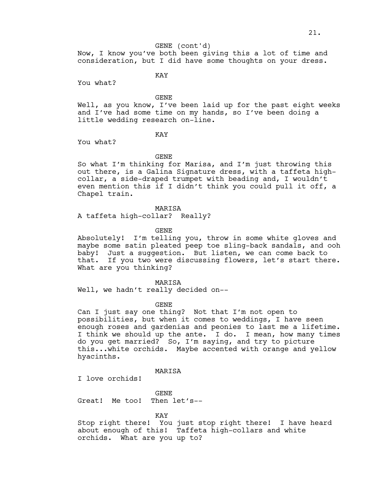#### GENE (cont'd)

Now, I know you've both been giving this a lot of time and consideration, but I did have some thoughts on your dress.

KAY

You what?

GENE

Well, as you know, I've been laid up for the past eight weeks and I've had some time on my hands, so I've been doing a little wedding research on-line.

KAY

You what?

## GENE

So what I'm thinking for Marisa, and I'm just throwing this out there, is a Galina Signature dress, with a taffeta highcollar, a side-draped trumpet with beading and, I wouldn't even mention this if I didn't think you could pull it off, a Chapel train.

MARISA

A taffeta high-collar? Really?

GENE

Absolutely! I'm telling you, throw in some white gloves and maybe some satin pleated peep toe sling-back sandals, and ooh baby! Just a suggestion. But listen, we can come back to that. If you two were discussing flowers, let's start there. What are you thinking?

MARISA

Well, we hadn't really decided on--

GENE

Can I just say one thing? Not that I'm not open to possibilities, but when it comes to weddings, I have seen enough roses and gardenias and peonies to last me a lifetime. I think we should up the ante. I do. I mean, how many times do you get married? So, I'm saying, and try to picture this...white orchids. Maybe accented with orange and yellow hyacinths.

# MARISA

I love orchids!

GENE Great! Me too! Then let's--

#### KAY

Stop right there! You just stop right there! I have heard about enough of this! Taffeta high-collars and white orchids. What are you up to?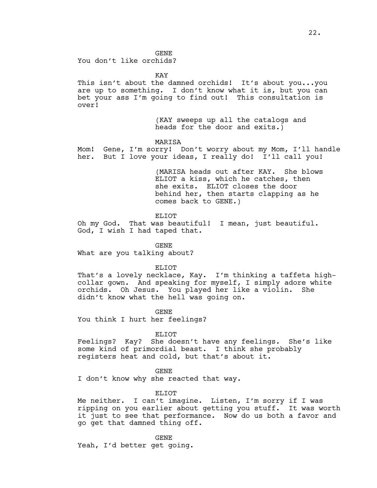You don't like orchids?

KAY

This isn't about the damned orchids! It's about you...you are up to something. I don't know what it is, but you can bet your ass I'm going to find out! This consultation is over!

> (KAY sweeps up all the catalogs and heads for the door and exits.)

#### MARISA

Mom! Gene, I'm sorry! Don't worry about my Mom, I'll handle her. But I love your ideas, I really do! I'll call you!

> (MARISA heads out after KAY. She blows ELIOT a kiss, which he catches, then she exits. ELIOT closes the door behind her, then starts clapping as he comes back to GENE.)

ELIOT

Oh my God. That was beautiful! I mean, just beautiful. God, I wish I had taped that.

GENE

What are you talking about?

ELIOT

That's a lovely necklace, Kay. I'm thinking a taffeta highcollar gown. And speaking for myself, I simply adore white orchids. Oh Jesus. You played her like a violin. She didn't know what the hell was going on.

GENE

You think I hurt her feelings?

ELIOT

Feelings? Kay? She doesn't have any feelings. She's like some kind of primordial beast. I think she probably registers heat and cold, but that's about it.

GENE

I don't know why she reacted that way.

ELIOT

Me neither. I can't imagine. Listen, I'm sorry if I was ripping on you earlier about getting you stuff. It was worth it just to see that performance. Now do us both a favor and go get that damned thing off.

GENE Yeah, I'd better get going.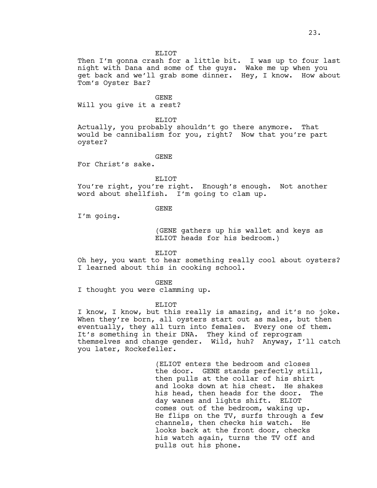#### ELIOT

Then I'm gonna crash for a little bit. I was up to four last night with Dana and some of the guys. Wake me up when you get back and we'll grab some dinner. Hey, I know. How about Tom's Oyster Bar?

# GENE

Will you give it a rest?

#### ELIOT

Actually, you probably shouldn't go there anymore. That would be cannibalism for you, right? Now that you're part oyster?

# GENE

For Christ's sake.

#### ELIOT

You're right, you're right. Enough's enough. Not another word about shellfish. I'm going to clam up.

# GENE

I'm going.

(GENE gathers up his wallet and keys as ELIOT heads for his bedroom.)

# ELIOT

Oh hey, you want to hear something really cool about oysters? I learned about this in cooking school.

#### GENE

I thought you were clamming up.

#### ELIOT

I know, I know, but this really is amazing, and it's no joke. When they're born, all oysters start out as males, but then eventually, they all turn into females. Every one of them. It's something in their DNA. They kind of reprogram themselves and change gender. Wild, huh? Anyway, I'll catch you later, Rockefeller.

> (ELIOT enters the bedroom and closes the door. GENE stands perfectly still, then pulls at the collar of his shirt and looks down at his chest. He shakes his head, then heads for the door. The day wanes and lights shift. ELIOT comes out of the bedroom, waking up. He flips on the TV, surfs through a few channels, then checks his watch. He looks back at the front door, checks his watch again, turns the TV off and pulls out his phone.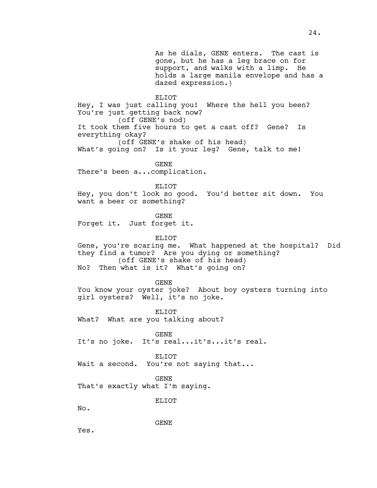As he dials, GENE enters. The cast is gone, but he has a leg brace on for support, and walks with a limp. He holds a large manila envelope and has a dazed expression.) ELIOT Hey, I was just calling you! Where the hell you been? You're just getting back now? (off GENE's nod) It took them five hours to get a cast off? Gene? Is everything okay? (off GENE's shake of his head) What's going on? Is it your leg? Gene, talk to me! GENE There's been a...complication. ELIOT Hey, you don't look so good. You'd better sit down. You want a beer or something? GENE Forget it. Just forget it. ELIOT Gene, you're scaring me. What happened at the hospital? Did they find a tumor? Are you dying or something? (off GENE's shake of his head) No? Then what is it? What's going on? GENE You know your oyster joke? About boy oysters turning into girl oysters? Well, it's no joke. ELIOT What? What are you talking about? GENE It's no joke. It's real...it's...it's real. ELIOT Wait a second. You're not saying that... GENE That's exactly what I'm saying. ELIOT No. GENE Yes.

24.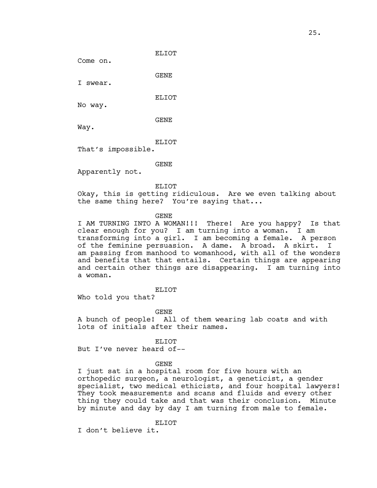Come on.

GENE

I swear.

ELIOT

No way.

GENE

Way.

ELIOT

That's impossible.

GENE

Apparently not.

ELIOT

Okay, this is getting ridiculous. Are we even talking about the same thing here? You're saying that...

GENE

I AM TURNING INTO A WOMAN!!! There! Are you happy? Is that clear enough for you? I am turning into a woman. I am transforming into a girl. I am becoming a female. A person of the feminine persuasion. A dame. A broad. A skirt. I am passing from manhood to womanhood, with all of the wonders and benefits that that entails. Certain things are appearing and certain other things are disappearing. I am turning into a woman.

# ELIOT

Who told you that?

GENE

A bunch of people! All of them wearing lab coats and with lots of initials after their names.

# ELIOT

But I've never heard of--

#### GENE

I just sat in a hospital room for five hours with an orthopedic surgeon, a neurologist, a geneticist, a gender specialist, two medical ethicists, and four hospital lawyers! They took measurements and scans and fluids and every other thing they could take and that was their conclusion. Minute by minute and day by day I am turning from male to female.

ELIOT

I don't believe it.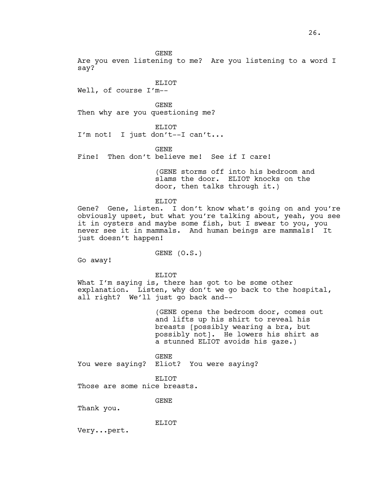Are you even listening to me? Are you listening to a word I say?

ELIOT

Well, of course I'm--

GENE Then why are you questioning me?

ELIOT

I'm not! I just don't--I can't...

GENE

Fine! Then don't believe me! See if I care!

(GENE storms off into his bedroom and slams the door. ELIOT knocks on the door, then talks through it.)

ELIOT

Gene? Gene, listen. I don't know what's going on and you're obviously upset, but what you're talking about, yeah, you see it in oysters and maybe some fish, but I swear to you, you never see it in mammals. And human beings are mammals! It just doesn't happen!

GENE (O.S.)

ELIOT

What I'm saying is, there has got to be some other explanation. Listen, why don't we go back to the hospital, all right? We'll just go back and--

> (GENE opens the bedroom door, comes out and lifts up his shirt to reveal his breasts [possibly wearing a bra, but possibly not]. He lowers his shirt as a stunned ELIOT avoids his gaze.)

GENE You were saying? Eliot? You were saying?

ELIOT

Those are some nice breasts.

GENE

Thank you.

Go away!

ELIOT

Very...pert.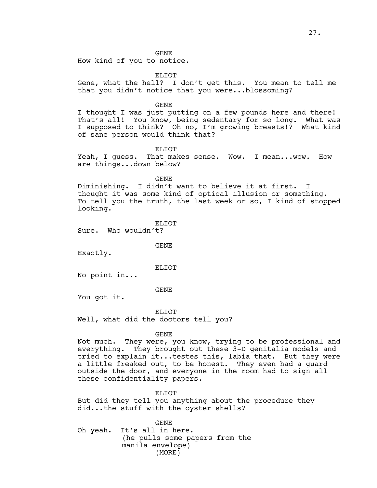How kind of you to notice.

ELIOT

Gene, what the hell? I don't get this. You mean to tell me that you didn't notice that you were...blossoming?

GENE

I thought I was just putting on a few pounds here and there! That's all! You know, being sedentary for so long. What was I supposed to think? Oh no, I'm growing breasts!? What kind of sane person would think that?

ELIOT

Yeah, I quess. That makes sense. Wow. I mean... wow. How are things...down below?

GENE

Diminishing. I didn't want to believe it at first. I thought it was some kind of optical illusion or something. To tell you the truth, the last week or so, I kind of stopped looking.

ELIOT

Sure. Who wouldn't?

GENE

Exactly.

ELIOT

No point in...

GENE

You got it.

ELIOT Well, what did the doctors tell you?

GENE

Not much. They were, you know, trying to be professional and everything. They brought out these 3-D genitalia models and tried to explain it...testes this, labia that. But they were a little freaked out, to be honest. They even had a guard outside the door, and everyone in the room had to sign all these confidentiality papers.

ELIOT

But did they tell you anything about the procedure they did...the stuff with the oyster shells?

GENE Oh yeah. It's all in here. (he pulls some papers from the manila envelope) (MORE)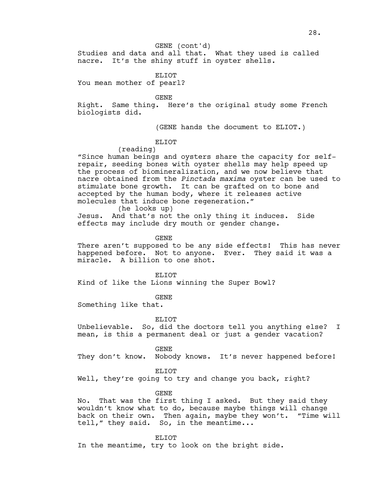# GENE (cont'd)

Studies and data and all that. What they used is called nacre. It's the shiny stuff in oyster shells.

ELIOT

You mean mother of pearl?

GENE

Right. Same thing. Here's the original study some French biologists did.

(GENE hands the document to ELIOT.)

# ELIOT

(reading)

"Since human beings and oysters share the capacity for selfrepair, seeding bones with oyster shells may help speed up the process of biomineralization, and we now believe that nacre obtained from the *Pinctada maxima* oyster can be used to stimulate bone growth. It can be grafted on to bone and accepted by the human body, where it releases active molecules that induce bone regeneration."

(he looks up)

Jesus. And that's not the only thing it induces. Side effects may include dry mouth or gender change.

GENE

There aren't supposed to be any side effects! This has never happened before. Not to anyone. Ever. They said it was a miracle. A billion to one shot.

ELIOT

Kind of like the Lions winning the Super Bowl?

GENE

Something like that.

ELIOT

Unbelievable. So, did the doctors tell you anything else? I mean, is this a permanent deal or just a gender vacation?

GENE

They don't know. Nobody knows. It's never happened before!

ELIOT

Well, they're going to try and change you back, right?

GENE

No. That was the first thing I asked. But they said they wouldn't know what to do, because maybe things will change back on their own. Then again, maybe they won't. "Time will tell," they said. So, in the meantime...

ELIOT

In the meantime, try to look on the bright side.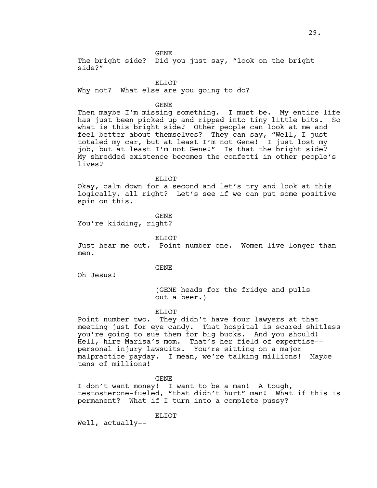The bright side? Did you just say, "look on the bright side?"

ELIOT

Why not? What else are you going to do?

GENE

Then maybe I'm missing something. I must be. My entire life has just been picked up and ripped into tiny little bits. So what is this bright side? Other people can look at me and feel better about themselves? They can say, "Well, I just totaled my car, but at least I'm not Gene! I just lost my job, but at least I'm not Gene!" Is that the bright side? My shredded existence becomes the confetti in other people's lives?

ELIOT

Okay, calm down for a second and let's try and look at this logically, all right? Let's see if we can put some positive spin on this.

GENE

You're kidding, right?

ELIOT

Just hear me out. Point number one. Women live longer than men.

GENE

Oh Jesus!

(GENE heads for the fridge and pulls out a beer.)

ELIOT

Point number two. They didn't have four lawyers at that meeting just for eye candy. That hospital is scared shitless you're going to sue them for big bucks. And you should! Hell, hire Marisa's mom. That's her field of expertise- personal injury lawsuits. You're sitting on a major malpractice payday. I mean, we're talking millions! Maybe tens of millions!

GENE

I don't want money! I want to be a man! A tough, testosterone-fueled, "that didn't hurt" man! What if this is permanent? What if I turn into a complete pussy?

ELIOT

Well, actually--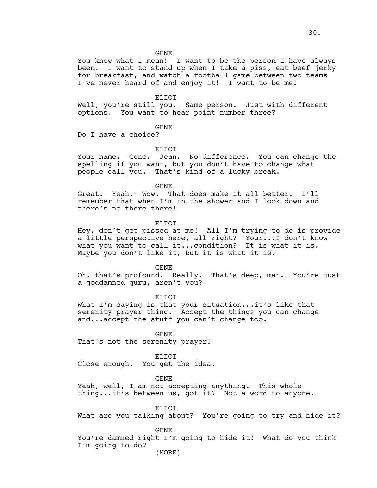You know what I mean! I want to be the person I have always been! I want to stand up when I take a piss, eat beef jerky for breakfast, and watch a football game between two teams I've never heard of and enjoy it! I want to be me!

# ELIOT

Well, you're still you. Same person. Just with different options. You want to hear point number three?

# GENE

Do I have a choice?

# ELIOT

Your name. Gene. Jean. No difference. You can change the spelling if you want, but you don't have to change what people call you. That's kind of a lucky break.

GENE

Great. Yeah. Wow. That does make it all better. I'll remember that when I'm in the shower and I look down and there's no there there!

#### ELIOT

Hey, don't get pissed at me! All I'm trying to do is provide a little perspective here, all right? Your...I don't know what you want to call it...condition? It is what it is. Maybe you don't like it, but it is what it is.

GENE

Oh, that's profound. Really. That's deep, man. You're just a goddamned guru, aren't you?

ELIOT

What I'm saying is that your situation...it's like that serenity prayer thing. Accept the things you can change and...accept the stuff you can't change too.

GENE That's not the serenity prayer!

ELIOT Close enough. You get the idea.

GENE

Yeah, well, I am not accepting anything. This whole thing...it's between us, got it? Not a word to anyone.

ELIOT

What are you talking about? You're going to try and hide it?

GENE

You're damned right I'm going to hide it! What do you think I'm going to do?

(MORE)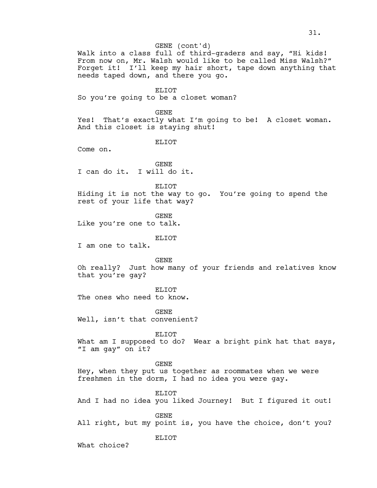GENE (cont'd)

Walk into a class full of third-graders and say, "Hi kids! From now on, Mr. Walsh would like to be called Miss Walsh?" Forget it! I'll keep my hair short, tape down anything that needs taped down, and there you go.

ELIOT

So you're going to be a closet woman?

GENE

Yes! That's exactly what I'm going to be! A closet woman. And this closet is staying shut!

ELIOT

Come on.

GENE I can do it. I will do it.

ELIOT Hiding it is not the way to go. You're going to spend the rest of your life that way?

GENE

Like you're one to talk.

ELIOT

I am one to talk.

GENE

Oh really? Just how many of your friends and relatives know that you're gay?

ELIOT

The ones who need to know.

GENE

Well, isn't that convenient?

ELIOT

ELIOT

What am I supposed to do? Wear a bright pink hat that says, "I am gay" on it?

GENE Hey, when they put us together as roommates when we were freshmen in the dorm, I had no idea you were gay.

ELIOT And I had no idea you liked Journey! But I figured it out!

GENE All right, but my point is, you have the choice, don't you?

What choice?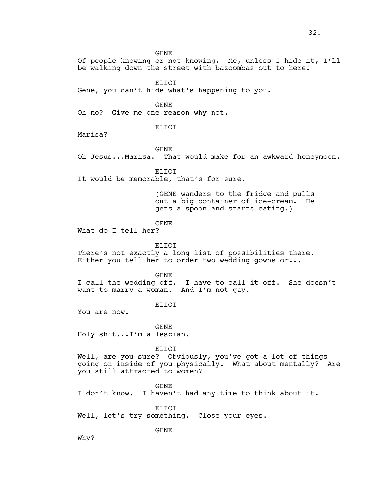Of people knowing or not knowing. Me, unless I hide it, I'll be walking down the street with bazoombas out to here!

ELIOT

Gene, you can't hide what's happening to you.

GENE

Oh no? Give me one reason why not.

ELIOT

Marisa?

GENE

Oh Jesus...Marisa. That would make for an awkward honeymoon.

ELIOT

It would be memorable, that's for sure.

(GENE wanders to the fridge and pulls out a big container of ice-cream. He gets a spoon and starts eating.)

#### GENE

What do I tell her?

ELIOT

There's not exactly a long list of possibilities there. Either you tell her to order two wedding gowns or...

GENE

I call the wedding off. I have to call it off. She doesn't want to marry a woman. And I'm not gay.

ELIOT

You are now.

GENE Holy shit...I'm a lesbian.

ELIOT

Well, are you sure? Obviously, you've got a lot of things going on inside of you physically. What about mentally? Are you still attracted to women?

GENE

I don't know. I haven't had any time to think about it.

ELIOT

Well, let's try something. Close your eyes.

GENE

Why?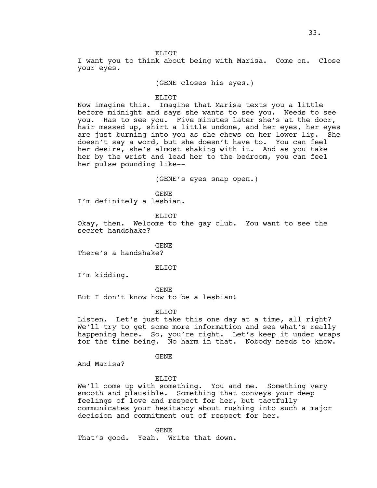#### ELIOT

I want you to think about being with Marisa. Come on. Close your eyes.

(GENE closes his eyes.)

## ELIOT

Now imagine this. Imagine that Marisa texts you a little before midnight and says she wants to see you. Needs to see you. Has to see you. Five minutes later she's at the door, hair messed up, shirt a little undone, and her eyes, her eyes are just burning into you as she chews on her lower lip. She doesn't say a word, but she doesn't have to. You can feel her desire, she's almost shaking with it. And as you take her by the wrist and lead her to the bedroom, you can feel her pulse pounding like--

(GENE's eyes snap open.)

GENE I'm definitely a lesbian.

ELIOT

Okay, then. Welcome to the gay club. You want to see the secret handshake?

GENE

There's a handshake?

#### ELIOT

I'm kidding.

GENE

But I don't know how to be a lesbian!

ELIOT

Listen. Let's just take this one day at a time, all right? We'll try to get some more information and see what's really happening here. So, you're right. Let's keep it under wraps for the time being. No harm in that. Nobody needs to know.

GENE

And Marisa?

#### ELIOT

We'll come up with something. You and me. Something very smooth and plausible. Something that conveys your deep feelings of love and respect for her, but tactfully communicates your hesitancy about rushing into such a major decision and commitment out of respect for her.

GENE

That's good. Yeah. Write that down.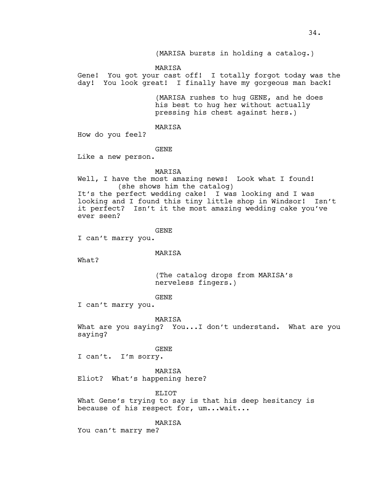(MARISA bursts in holding a catalog.)

MARISA

Gene! You got your cast off! I totally forgot today was the day! You look great! I finally have my gorgeous man back!

> (MARISA rushes to hug GENE, and he does his best to hug her without actually pressing his chest against hers.)

MARISA

How do you feel?

GENE

Like a new person.

MARISA

Well, I have the most amazing news! Look what I found! (she shows him the catalog)

It's the perfect wedding cake! I was looking and I was looking and I found this tiny little shop in Windsor! Isn't it perfect? Isn't it the most amazing wedding cake you've ever seen?

GENE

I can't marry you.

MARISA

What?

(The catalog drops from MARISA's nerveless fingers.)

GENE

I can't marry you.

MARISA

What are you saying? You...I don't understand. What are you saying?

GENE

I can't. I'm sorry.

MARISA Eliot? What's happening here?

ELIOT

What Gene's trying to say is that his deep hesitancy is because of his respect for, um...wait...

MARISA

You can't marry me?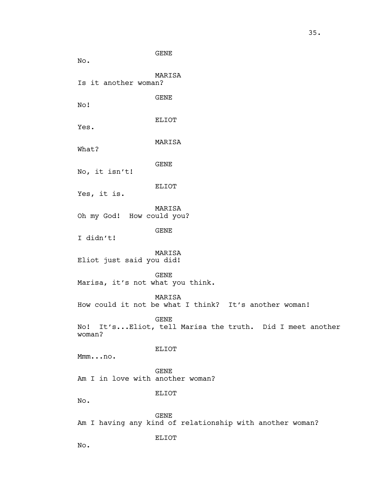GENE No. MARISA Is it another woman? GENE No! ELIOT Yes. MARISA What? GENE No, it isn't! ELIOT Yes, it is. MARISA Oh my God! How could you? GENE I didn't! MARISA Eliot just said you did! GENE Marisa, it's not what you think. MARISA How could it not be what I think? It's another woman! GENE No! It's...Eliot, tell Marisa the truth. Did I meet another woman? ELIOT Mmm...no. GENE Am I in love with another woman? ELIOT No. GENE Am I having any kind of relationship with another woman? ELIOT No.

35.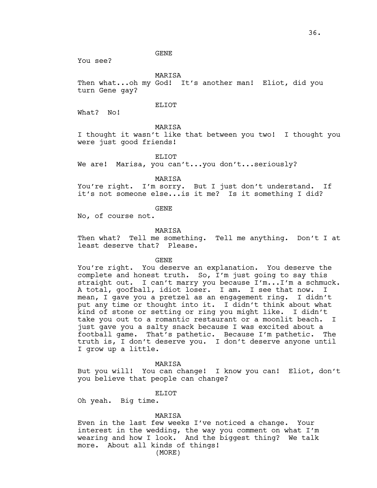You see?

MARISA

Then what...oh my God! It's another man! Eliot, did you turn Gene gay?

# ELIOT

What? No!

# MARISA

I thought it wasn't like that between you two! I thought you were just good friends!

## ELIOT

We are! Marisa, you can't...you don't...seriously?

MARISA

You're right. I'm sorry. But I just don't understand. If it's not someone else...is it me? Is it something I did?

GENE

No, of course not.

#### MARISA

Then what? Tell me something. Tell me anything. Don't I at least deserve that? Please.

## GENE

You're right. You deserve an explanation. You deserve the complete and honest truth. So, I'm just going to say this straight out. I can't marry you because I'm...I'm a schmuck. A total, goofball, idiot loser. I am. I see that now. I mean, I gave you a pretzel as an engagement ring. I didn't put any time or thought into it. I didn't think about what kind of stone or setting or ring you might like. I didn't take you out to a romantic restaurant or a moonlit beach. I just gave you a salty snack because I was excited about a football game. That's pathetic. Because I'm pathetic. The truth is, I don't deserve you. I don't deserve anyone until I grow up a little.

#### MARISA

But you will! You can change! I know you can! Eliot, don't you believe that people can change?

# ELIOT

Oh yeah. Big time.

#### MARISA

Even in the last few weeks I've noticed a change. Your interest in the wedding, the way you comment on what I'm wearing and how I look. And the biggest thing? We talk more. About all kinds of things!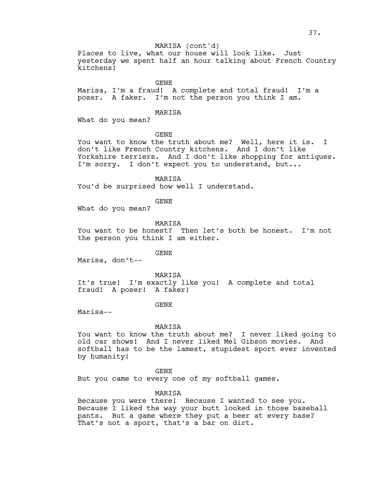# MARISA (cont'd)

Places to live, what our house will look like. Just yesterday we spent half an hour talking about French Country kitchens!

GENE

Marisa, I'm a fraud! A complete and total fraud! I'm a poser. A faker. I'm not the person you think I am.

MARISA

What do you mean?

GENE

You want to know the truth about me? Well, here it is. I don't like French Country kitchens. And I don't like Yorkshire terriers. And I don't like shopping for antiques. I'm sorry. I don't expect you to understand, but...

MARISA

You'd be surprised how well I understand.

GENE

What do you mean?

MARISA

You want to be honest? Then let's both be honest. I'm not the person you think I am either.

GENE

Marisa, don't--

MARISA It's true! I'm exactly like you! A complete and total fraud! A poser! A faker!

GENE

Marisa--

#### MARISA

You want to know the truth about me? I never liked going to old car shows! And I never liked Mel Gibson movies. And softball has to be the lamest, stupidest sport ever invented by humanity!

GENE

But you came to every one of my softball games.

MARISA

Because you were there! Because I wanted to see you. Because I liked the way your butt looked in those baseball pants. But a game where they put a beer at every base? That's not a sport, that's a bar on dirt.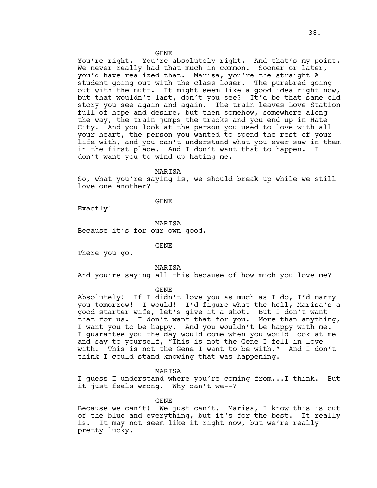You're right. You're absolutely right. And that's my point. We never really had that much in common. Sooner or later, you'd have realized that. Marisa, you're the straight A student going out with the class loser. The purebred going out with the mutt. It might seem like a good idea right now, but that wouldn't last, don't you see? It'd be that same old story you see again and again. The train leaves Love Station full of hope and desire, but then somehow, somewhere along the way, the train jumps the tracks and you end up in Hate City. And you look at the person you used to love with all your heart, the person you wanted to spend the rest of your life with, and you can't understand what you ever saw in them in the first place. And I don't want that to happen. I don't want you to wind up hating me.

MARISA

So, what you're saying is, we should break up while we still love one another?

GENE

Exactly!

MARISA Because it's for our own good.

GENE

There you go.

MARISA

And you're saying all this because of how much you love me?

GENE

Absolutely! If I didn't love you as much as I do, I'd marry you tomorrow! I would! I'd figure what the hell, Marisa's a good starter wife, let's give it a shot. But I don't want that for us. I don't want that for you. More than anything, I want you to be happy. And you wouldn't be happy with me. I guarantee you the day would come when you would look at me and say to yourself, "This is not the Gene I fell in love with. This is not the Gene I want to be with." And I don't think I could stand knowing that was happening.

#### MARISA

I guess I understand where you're coming from...I think. But it just feels wrong. Why can't we--?

GENE

Because we can't! We just can't. Marisa, I know this is out of the blue and everything, but it's for the best. It really is. It may not seem like it right now, but we're really pretty lucky.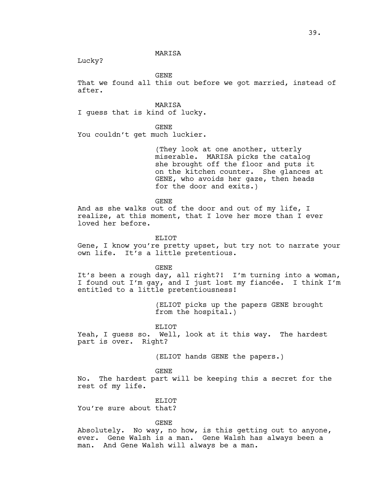#### MARISA

Lucky?

GENE

That we found all this out before we got married, instead of after.

MARISA

I guess that is kind of lucky.

GENE

You couldn't get much luckier.

(They look at one another, utterly miserable. MARISA picks the catalog she brought off the floor and puts it on the kitchen counter. She glances at GENE, who avoids her gaze, then heads for the door and exits.)

GENE

And as she walks out of the door and out of my life, I realize, at this moment, that I love her more than I ever loved her before.

ELIOT

Gene, I know you're pretty upset, but try not to narrate your own life. It's a little pretentious.

GENE

It's been a rough day, all right?! I'm turning into a woman, I found out I'm gay, and I just lost my fiancée. I think I'm entitled to a little pretentiousness!

> (ELIOT picks up the papers GENE brought from the hospital.)

#### ELIOT

Yeah, I guess so. Well, look at it this way. The hardest part is over. Right?

(ELIOT hands GENE the papers.)

GENE

No. The hardest part will be keeping this a secret for the rest of my life.

ELIOT

You're sure about that?

GENE

Absolutely. No way, no how, is this getting out to anyone, ever. Gene Walsh is a man. Gene Walsh has always been a man. And Gene Walsh will always be a man.